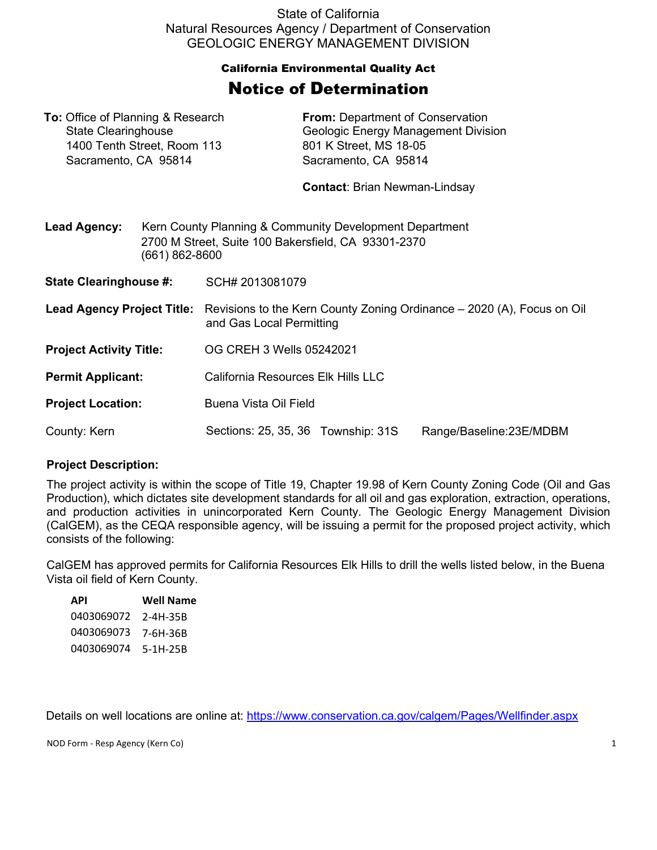State of California Natural Resources Agency / Department of Conservation GEOLOGIC ENERGY MANAGEMENT DIVISION

## California Environmental Quality Act Notice of Determination

**To:** Office of Planning & Research **From:** Department of Conservation

| <b>State Clearinghouse</b>                          |                                                                                                                                  |                                                                                                    | <b>Geologic Energy Management Division</b>     |                         |  |
|-----------------------------------------------------|----------------------------------------------------------------------------------------------------------------------------------|----------------------------------------------------------------------------------------------------|------------------------------------------------|-------------------------|--|
| 1400 Tenth Street, Room 113<br>Sacramento, CA 95814 |                                                                                                                                  |                                                                                                    | 801 K Street, MS 18-05<br>Sacramento, CA 95814 |                         |  |
|                                                     |                                                                                                                                  |                                                                                                    |                                                |                         |  |
|                                                     |                                                                                                                                  |                                                                                                    | <b>Contact: Brian Newman-Lindsay</b>           |                         |  |
| <b>Lead Agency:</b>                                 | Kern County Planning & Community Development Department<br>2700 M Street, Suite 100 Bakersfield, CA 93301-2370<br>(661) 862-8600 |                                                                                                    |                                                |                         |  |
| <b>State Clearinghouse #:</b>                       |                                                                                                                                  | SCH# 2013081079                                                                                    |                                                |                         |  |
| <b>Lead Agency Project Title:</b>                   |                                                                                                                                  | Revisions to the Kern County Zoning Ordinance – 2020 (A), Focus on Oil<br>and Gas Local Permitting |                                                |                         |  |
| <b>Project Activity Title:</b>                      |                                                                                                                                  | OG CREH 3 Wells 05242021                                                                           |                                                |                         |  |
| <b>Permit Applicant:</b>                            |                                                                                                                                  | California Resources Elk Hills LLC                                                                 |                                                |                         |  |
| <b>Project Location:</b>                            |                                                                                                                                  | Buena Vista Oil Field                                                                              |                                                |                         |  |
| County: Kern                                        |                                                                                                                                  | Sections: 25, 35, 36 Township: 31S                                                                 |                                                | Range/Baseline:23E/MDBM |  |

## **Project Description:**

The project activity is within the scope of Title 19, Chapter 19.98 of Kern County Zoning Code (Oil and Gas Production), which dictates site development standards for all oil and gas exploration, extraction, operations, and production activities in unincorporated Kern County. The Geologic Energy Management Division (CalGEM), as the CEQA responsible agency, will be issuing a permit for the proposed project activity, which consists of the following:

CalGEM has approved permits for California Resources Elk Hills to drill the wells listed below, in the Buena Vista oil field of Kern County.

| API        | Well Name  |
|------------|------------|
| 0403069072 | 2-4H-35B   |
| 0403069073 | 7-6H-36B   |
| 0403069074 | $5-1H-25B$ |
|            |            |

Details on well locations are online at:<https://www.conservation.ca.gov/calgem/Pages/Wellfinder.aspx>

NOD Form - Resp Agency (Kern Co) 1